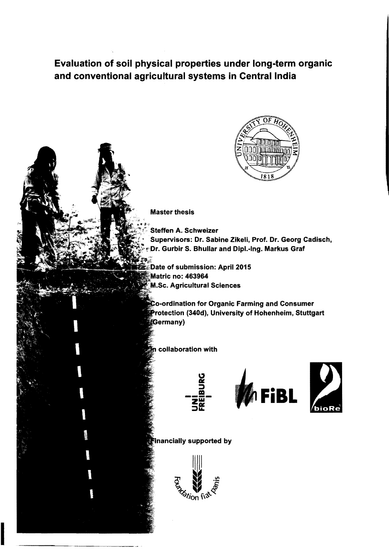# Evaluation of soil physical properties under long-term organic and conventional agricultural systems in Central India



### **Master thesis**

- **Steffen A. Schweizer**
- Supervisors: Dr. Sabine Zikeli, Prof. Dr. Georg Cadisch, Dr. Gurbir S. Bhullar and Dipl.-Ing. Markus Graf
- Date of submission: April 2015 **Matric no: 463964** M.Sc. Agricultural Sciences
- **Co-ordination for Organic Farming and Consumer** Protection (340d), University of Hohenheim, Stuttgart (Germany)

## collaboration with



## Inancially supported by

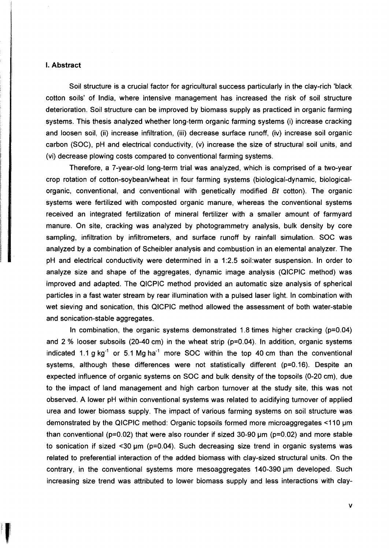#### I. **Abstract**

Soil structure is a crucial factor for agricultural success particularly in the clay-rich 'black cotton soils' of India, where intensive management has increased the risk of soil structure deterioration. Soil structure can be improved by biomass supply as practiced in organic farming systems. This thesis analyzed whether long-term organic farming systems (i) increase cracking and loosen soil, (ii) increase infiltration, (iii) decrease surface runoff, (iv) increase soil organic carbon (SOC) , pH and electrical conductivity, (v) increase the size of structural soil units, and (vi) decrease plowing costs compared to conventional farming systems.

Therefore, a 7-year-old long-term trial was analyzed, which is comprised of a two-year crop rotation of cotton-soybean/wheat in four farming systems (biological-dynamic, biologicalorganic, conventional, and conventional with genetically modified Bt cotton). The organic systems were fertilized with composted organic manure, whereas the conventional systems received an integrated fertilization of mineral fertilizer with a smaller amount of farmyard manure. On site, cracking was analyzed by photogrammetry analysis, bulk density by core sampling, infiltration by infiltrometers, and surface runoff by rainfall simulation. SOC was analyzed by a combination of Scheibler analysis and combustion in an elemental analyzer. The pH and electrical conductivity were determined in a 1 :2.5 soil:water suspension. In order to analyze size and shape of the aggregates, dynamic image analysis (QICPIC method) was improved and adapted. The QICPIC method provided an automatie size analysis of spherical particles in a fast water stream by rear illumination with a pulsed laser light. In combination with wet sieving and sonication, this QICPIC method allowed the assessment of both water-stable and sonication-stable aggregates.

In combination, the organic systems demonstrated 1.8 times higher cracking (p=0.04) and 2 % looser subsoils (20-40 cm) in the wheat strip ( $p=0.04$ ). In addition, organic systems indicated 1.1 g  $kg^{-1}$  or 5.1 Mg ha<sup>-1</sup> more SOC within the top 40 cm than the conventional systems, although these differences were not statistically different (p=0.16). Despite an expected influence of organic systems on SOC and bulk density of the topsoils (0-20 cm), due to the impact of land management and high carbon turnover at the study site, this was not observed. A lower pH within conventional systems was related to acidifying turnover of applied urea and lower biomass supply. The impact of various farming systems on soil structure was demonstrated by the QICPIC method: Organic topsoils formed more microaggregates <110 µm than conventional ( $p=0.02$ ) that were also rounder if sized 30-90  $\mu$ m ( $p=0.02$ ) and more stable to sonication if sized <30  $\mu$ m (p=0.04). Such decreasing size trend in organic systems was related to preferential interaction of the added biomass with clay-sized structural units. On the contrary, in the conventional systems more mesoaggregates 140-390 um developed. Such increasing size trend was attributed to lower biomass supply and less interactions with clay